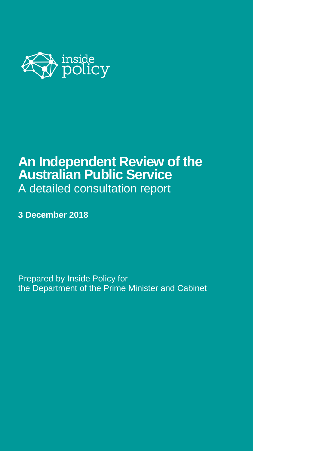

# **An Independent Review of the Australian Public Service** A detailed consultation report

**3 December 2018**

Prepared by Inside Policy for the Department of the Prime Minister and Cabinet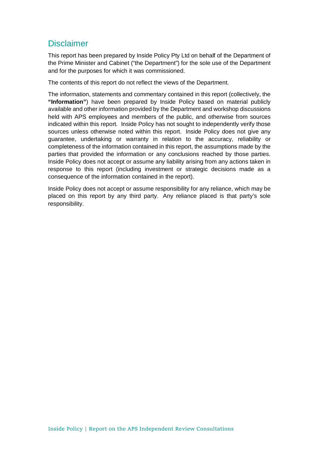## **Disclaimer**

This report has been prepared by Inside Policy Pty Ltd on behalf of the Department of the Prime Minister and Cabinet ("the Department") for the sole use of the Department and for the purposes for which it was commissioned.

The contents of this report do not reflect the views of the Department.

The information, statements and commentary contained in this report (collectively, the **"Information"**) have been prepared by Inside Policy based on material publicly available and other information provided by the Department and workshop discussions held with APS employees and members of the public, and otherwise from sources indicated within this report. Inside Policy has not sought to independently verify those sources unless otherwise noted within this report. Inside Policy does not give any guarantee, undertaking or warranty in relation to the accuracy, reliability or completeness of the information contained in this report, the assumptions made by the parties that provided the information or any conclusions reached by those parties. Inside Policy does not accept or assume any liability arising from any actions taken in response to this report (including investment or strategic decisions made as a consequence of the information contained in the report).

Inside Policy does not accept or assume responsibility for any reliance, which may be placed on this report by any third party. Any reliance placed is that party's sole responsibility.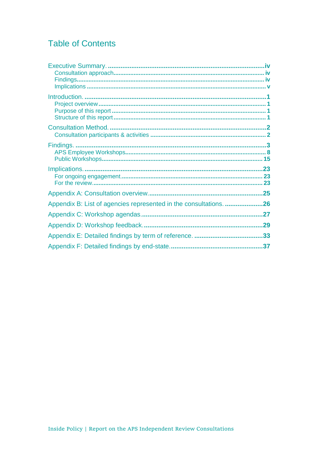## **Table of Contents**

| Appendix B: List of agencies represented in the consultations. 26 |  |
|-------------------------------------------------------------------|--|
|                                                                   |  |
|                                                                   |  |
|                                                                   |  |
|                                                                   |  |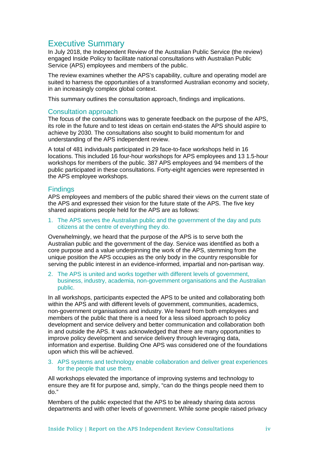## Executive Summary

In July 2018, the Independent Review of the Australian Public Service (the review) engaged Inside Policy to facilitate national consultations with Australian Public Service (APS) employees and members of the public.

The review examines whether the APS's capability, culture and operating model are suited to harness the opportunities of a transformed Australian economy and society, in an increasingly complex global context.

This summary outlines the consultation approach, findings and implications.

## Consultation approach

The focus of the consultations was to generate feedback on the purpose of the APS, its role in the future and to test ideas on certain end-states the APS should aspire to achieve by 2030. The consultations also sought to build momentum for and understanding of the APS independent review.

A total of 481 individuals participated in 29 face-to-face workshops held in 16 locations. This included 16 four-hour workshops for APS employees and 13 1.5-hour workshops for members of the public. 387 APS employees and 94 members of the public participated in these consultations. Forty-eight agencies were represented in the APS employee workshops.

## **Findings**

APS employees and members of the public shared their views on the current state of the APS and expressed their vision for the future state of the APS. The five key shared aspirations people held for the APS are as follows:

1. The APS serves the Australian public and the government of the day and puts citizens at the centre of everything they do.

Overwhelmingly, we heard that the purpose of the APS is to serve both the Australian public and the government of the day. Service was identified as both a core purpose and a value underpinning the work of the APS, stemming from the unique position the APS occupies as the only body in the country responsible for serving the public interest in an evidence-informed, impartial and non-partisan way.

2. The APS is united and works together with different levels of government, business, industry, academia, non-government organisations and the Australian public.

In all workshops, participants expected the APS to be united and collaborating both within the APS and with different levels of government, communities, academics, non-government organisations and industry. We heard from both employees and members of the public that there is a need for a less siloed approach to policy development and service delivery and better communication and collaboration both in and outside the APS. It was acknowledged that there are many opportunities to improve policy development and service delivery through leveraging data, information and expertise. Building One APS was considered one of the foundations upon which this will be achieved.

### 3. APS systems and technology enable collaboration and deliver great experiences for the people that use them.

All workshops elevated the importance of improving systems and technology to ensure they are fit for purpose and, simply, "can do the things people need them to do."

Members of the public expected that the APS to be already sharing data across departments and with other levels of government. While some people raised privacy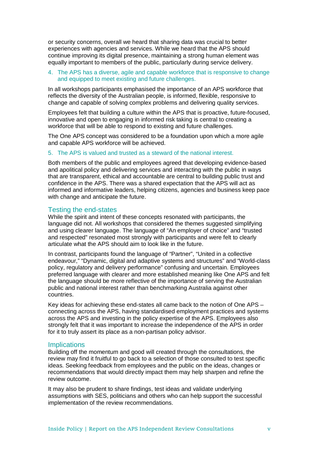or security concerns, overall we heard that sharing data was crucial to better experiences with agencies and services. While we heard that the APS should continue improving its digital presence, maintaining a strong human element was equally important to members of the public, particularly during service delivery.

### 4. The APS has a diverse, agile and capable workforce that is responsive to change and equipped to meet existing and future challenges.

In all workshops participants emphasised the importance of an APS workforce that reflects the diversity of the Australian people, is informed, flexible, responsive to change and capable of solving complex problems and delivering quality services.

Employees felt that building a culture within the APS that is proactive, future-focused, innovative and open to engaging in informed risk taking is central to creating a workforce that will be able to respond to existing and future challenges.

The One APS concept was considered to be a foundation upon which a more agile and capable APS workforce will be achieved.

### 5. The APS is valued and trusted as a steward of the national interest.

Both members of the public and employees agreed that developing evidence-based and apolitical policy and delivering services and interacting with the public in ways that are transparent, ethical and accountable are central to building public trust and confidence in the APS. There was a shared expectation that the APS will act as informed and informative leaders, helping citizens, agencies and business keep pace with change and anticipate the future.

## Testing the end-states

While the spirit and intent of these concepts resonated with participants, the language did not. All workshops that considered the themes suggested simplifying and using clearer language. The language of "An employer of choice" and "trusted and respected" resonated most strongly with participants and were felt to clearly articulate what the APS should aim to look like in the future.

In contrast, participants found the language of "Partner", "United in a collective endeavour," "Dynamic, digital and adaptive systems and structures" and "World-class policy, regulatory and delivery performance" confusing and uncertain. Employees preferred language with clearer and more established meaning like One APS and felt the language should be more reflective of the importance of serving the Australian public and national interest rather than benchmarking Australia against other countries.

Key ideas for achieving these end-states all came back to the notion of One APS – connecting across the APS, having standardised employment practices and systems across the APS and investing in the policy expertise of the APS. Employees also strongly felt that it was important to increase the independence of the APS in order for it to truly assert its place as a non-partisan policy advisor.

## **Implications**

Building off the momentum and good will created through the consultations, the review may find it fruitful to go back to a selection of those consulted to test specific ideas. Seeking feedback from employees and the public on the ideas, changes or recommendations that would directly impact them may help sharpen and refine the review outcome.

It may also be prudent to share findings, test ideas and validate underlying assumptions with SES, politicians and others who can help support the successful implementation of the review recommendations.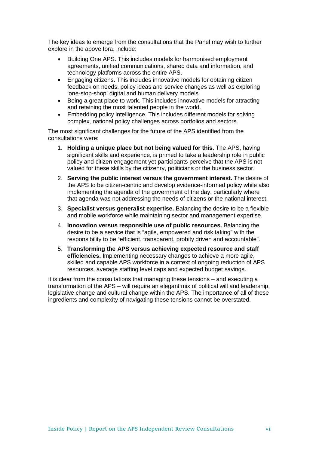The key ideas to emerge from the consultations that the Panel may wish to further explore in the above fora, include:

- Building One APS. This includes models for harmonised employment agreements, unified communications, shared data and information, and technology platforms across the entire APS.
- Engaging citizens. This includes innovative models for obtaining citizen feedback on needs, policy ideas and service changes as well as exploring 'one-stop-shop' digital and human delivery models.
- Being a great place to work. This includes innovative models for attracting and retaining the most talented people in the world.
- Embedding policy intelligence. This includes different models for solving complex, national policy challenges across portfolios and sectors.

The most significant challenges for the future of the APS identified from the consultations were:

- 1. **Holding a unique place but not being valued for this.** The APS, having significant skills and experience, is primed to take a leadership role in public policy and citizen engagement yet participants perceive that the APS is not valued for these skills by the citizenry, politicians or the business sector.
- 2. **Serving the public interest versus the government interest.** The desire of the APS to be citizen-centric and develop evidence-informed policy while also implementing the agenda of the government of the day, particularly where that agenda was not addressing the needs of citizens or the national interest.
- 3. **Specialist versus generalist expertise.** Balancing the desire to be a flexible and mobile workforce while maintaining sector and management expertise.
- 4. **Innovation versus responsible use of public resources.** Balancing the desire to be a service that is "agile, empowered and risk taking" with the responsibility to be "efficient, transparent, probity driven and accountable".
- 5. **Transforming the APS versus achieving expected resource and staff efficiencies.** Implementing necessary changes to achieve a more agile, skilled and capable APS workforce in a context of ongoing reduction of APS resources, average staffing level caps and expected budget savings.

It is clear from the consultations that managing these tensions – and executing a transformation of the APS – will require an elegant mix of political will and leadership, legislative change and cultural change within the APS. The importance of all of these ingredients and complexity of navigating these tensions cannot be overstated.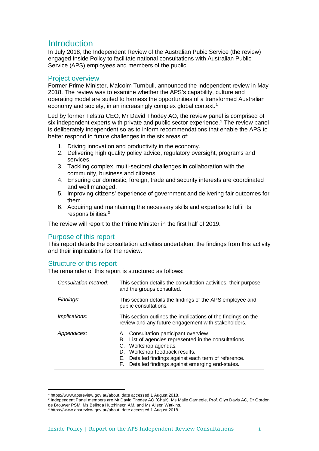## **Introduction**

In July 2018, the Independent Review of the Australian Pubic Service (the review) engaged Inside Policy to facilitate national consultations with Australian Public Service (APS) employees and members of the public.

## Project overview

Former Prime Minister, Malcolm Turnbull, announced the independent review in May 2018. The review was to examine whether the APS's capability, culture and operating model are suited to harness the opportunities of a transformed Australian economy and society, in an increasingly complex global context.<sup>[1](#page-6-0)</sup>

Led by former Telstra CEO, Mr David Thodey AO, the review panel is comprised of six independent experts with private and public sector experience.<sup>[2](#page-6-1)</sup> The review panel is deliberately independent so as to inform recommendations that enable the APS to better respond to future challenges in the six areas of:

- 1. Driving innovation and productivity in the economy.
- 2. Delivering high quality policy advice, regulatory oversight, programs and services.
- 3. Tackling complex, multi-sectoral challenges in collaboration with the community, business and citizens.
- 4. Ensuring our domestic, foreign, trade and security interests are coordinated and well managed.
- 5. Improving citizens' experience of government and delivering fair outcomes for them.
- 6. Acquiring and maintaining the necessary skills and expertise to fulfil its responsibilities[.3](#page-6-2)

The review will report to the Prime Minister in the first half of 2019.

## Purpose of this report

This report details the consultation activities undertaken, the findings from this activity and their implications for the review.

## Structure of this report

 $\overline{a}$ 

The remainder of this report is structured as follows:

| Consultation method: | This section details the consultation activities, their purpose<br>and the groups consulted.                                                                                                                                                                                  |
|----------------------|-------------------------------------------------------------------------------------------------------------------------------------------------------------------------------------------------------------------------------------------------------------------------------|
| Findings:            | This section details the findings of the APS employee and<br>public consultations.                                                                                                                                                                                            |
| Implications:        | This section outlines the implications of the findings on the<br>review and any future engagement with stakeholders.                                                                                                                                                          |
| Appendices:          | A. Consultation participant overview.<br>B. List of agencies represented in the consultations.<br>Workshop agendas.<br>C.<br>Workshop feedback results.<br>D.<br>Detailed findings against each term of reference.<br>Е.<br>F. Detailed findings against emerging end-states. |

<sup>1</sup> https://www.apsreview.gov.au/about, date accessed 1 August 2018.

<span id="page-6-1"></span><span id="page-6-0"></span><sup>2</sup> Independent Panel members are Mr David Thodey AO (Chair), Ms Maile Carnegie, Prof. Glyn Davis AC, Dr Gordon de Brouwer PSM, Ms Belinda Hutchinson AM, and Ms Alison Watkins.

<span id="page-6-2"></span><sup>3</sup> https://www.apsreview.gov.au/about, date accessed 1 August 2018.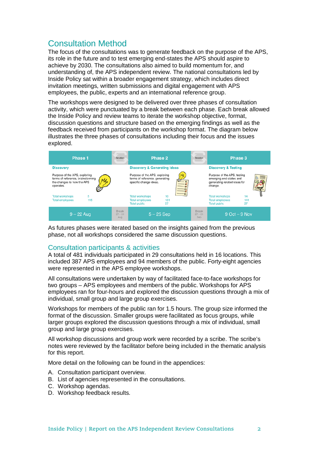## Consultation Method

The focus of the consultations was to generate feedback on the purpose of the APS, its role in the future and to test emerging end-states the APS should aspire to achieve by 2030. The consultations also aimed to build momentum for, and understanding of, the APS independent review. The national consultations led by Inside Policy sat within a broader engagement strategy, which includes direct invitation meetings, written submissions and digital engagement with APS employees, the public, experts and an international reference group.

The workshops were designed to be delivered over three phases of consultation activity, which were punctuated by a break between each phase. Each break allowed the Inside Policy and review teams to iterate the workshop objective, format, discussion questions and structure based on the emerging findings as well as the feedback received from participants on the workshop format. The diagram below illustrates the three phases of consultations including their focus and the issues explored.

| Phase 1                                                                                                       | <b>Iteration</b>                 | Phase 2                                                                                    |                  | Iteration                        | Phase 3                                                                                           |                 |
|---------------------------------------------------------------------------------------------------------------|----------------------------------|--------------------------------------------------------------------------------------------|------------------|----------------------------------|---------------------------------------------------------------------------------------------------|-----------------|
| <b>Discovery</b>                                                                                              |                                  | <b>Discovery &amp; Generating Ideas</b>                                                    |                  |                                  | <b>Discovery &amp; Testing</b>                                                                    |                 |
| Purpose of the APS, exploring<br>terms of reference, brainstorming<br>the changes to how the APS<br>operates. |                                  | Purpose of the APS, exploring<br>terms of reference, generating<br>specific change ideas.  | W<br>$--$<br>$-$ |                                  | Purpose of the APS, testing<br>emerging end-states and<br>generating related ideas for<br>change. | ≣               |
| <b>Total workshops</b><br>115<br><b>Total employees</b>                                                       |                                  | <b>Total workshops</b><br>10<br><b>Total employees</b><br>131<br>57<br><b>Total public</b> |                  |                                  | <b>Total workshops</b><br><b>Total employees</b><br><b>Total public</b>                           | 14<br>141<br>37 |
| $9 - 22$ Aug                                                                                                  | <b>Break</b><br>$27 - 31$<br>Aug | $5 - 25$ Sep                                                                               |                  | <b>Break</b><br>$27 - 31$<br>Sep | $9$ Oct $-9$ Nov                                                                                  |                 |

As futures phases were iterated based on the insights gained from the previous phase, not all workshops considered the same discussion questions.

## Consultation participants & activities

A total of 481 individuals participated in 29 consultations held in 16 locations. This included 387 APS employees and 94 members of the public. Forty-eight agencies were represented in the APS employee workshops.

All consultations were undertaken by way of facilitated face-to-face workshops for two groups – APS employees and members of the public. Workshops for APS employees ran for four-hours and explored the discussion questions through a mix of individual, small group and large group exercises.

Workshops for members of the public ran for 1.5 hours. The group size informed the format of the discussion. Smaller groups were facilitated as focus groups, while larger groups explored the discussion questions through a mix of individual, small group and large group exercises.

All workshop discussions and group work were recorded by a scribe. The scribe's notes were reviewed by the facilitator before being included in the thematic analysis for this report.

More detail on the following can be found in the appendices:

- A. Consultation participant overview.
- B. List of agencies represented in the consultations.
- C. Workshop agendas.
- D. Workshop feedback results.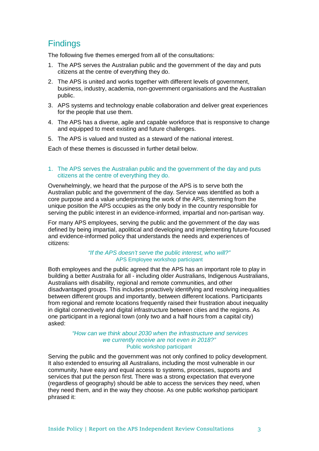## **Findings**

The following five themes emerged from all of the consultations:

- 1. The APS serves the Australian public and the government of the day and puts citizens at the centre of everything they do.
- 2. The APS is united and works together with different levels of government, business, industry, academia, non-government organisations and the Australian public.
- 3. APS systems and technology enable collaboration and deliver great experiences for the people that use them.
- 4. The APS has a diverse, agile and capable workforce that is responsive to change and equipped to meet existing and future challenges.
- 5. The APS is valued and trusted as a steward of the national interest.

Each of these themes is discussed in further detail below.

### 1. The APS serves the Australian public and the government of the day and puts citizens at the centre of everything they do.

Overwhelmingly, we heard that the purpose of the APS is to serve both the Australian public and the government of the day. Service was identified as both a core purpose and a value underpinning the work of the APS, stemming from the unique position the APS occupies as the only body in the country responsible for serving the public interest in an evidence-informed, impartial and non-partisan way.

For many APS employees, serving the public and the government of the day was defined by being impartial, apolitical and developing and implementing future-focused and evidence-informed policy that understands the needs and experiences of citizens:

#### *"If the APS doesn't serve the public interest, who will?"* APS Employee workshop participant

Both employees and the public agreed that the APS has an important role to play in building a better Australia for all - including older Australians, Indigenous Australians, Australians with disability, regional and remote communities, and other disadvantaged groups. This includes proactively identifying and resolving inequalities between different groups and importantly, between different locations. Participants from regional and remote locations frequently raised their frustration about inequality in digital connectively and digital infrastructure between cities and the regions. As one participant in a regional town (only two and a half hours from a capital city) asked:

### *"How can we think about 2030 when the infrastructure and services we currently receive are not even in 2018?"*  Public workshop participant

Serving the public and the government was not only confined to policy development. It also extended to ensuring all Australians, including the most vulnerable in our community, have easy and equal access to systems, processes, supports and services that put the person first. There was a strong expectation that everyone (regardless of geography) should be able to access the services they need, when they need them, and in the way they choose. As one public workshop participant phrased it: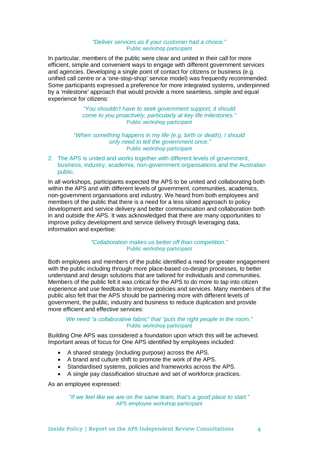### *"Deliver services as if your customer had a choice."*  Public workshop participant

In particular, members of the public were clear and united in their call for more efficient, simple and convenient ways to engage with different government services and agencies. Developing a single point of contact for citizens or business (e.g. unified call centre or a 'one-stop-shop' service model) was frequently recommended. Some participants expressed a preference for more integrated systems, underpinned by a 'milestone' approach that would provide a more seamless, simple and equal experience for citizens:

> *"You shouldn't have to seek government support, it should come to you proactively, particularly at key life milestones."*  Public workshop participant

## *"When something happens in my life (e.g. birth or death), I should only need to tell the government once."*  Public workshop participant

2. The APS is united and works together with different levels of government, business, industry, academia, non-government organisations and the Australian public.

In all workshops, participants expected the APS to be united and collaborating both within the APS and with different levels of government, communities, academics, non-government organisations and industry. We heard from both employees and members of the public that there is a need for a less siloed approach to policy development and service delivery and better communication and collaboration both in and outside the APS. It was acknowledged that there are many opportunities to improve policy development and service delivery through leveraging data, information and expertise:

> *"Collaboration makes us better off than competition."* Public workshop participant

Both employees and members of the public identified a need for greater engagement with the public including through more place-based co-design processes, to better understand and design solutions that are tailored for individuals and communities. Members of the public felt it was critical for the APS to do more to tap into citizen experience and use feedback to improve policies and services. Many members of the public also felt that the APS should be partnering more with different levels of government, the public, industry and business to reduce duplication and provide more efficient and effective services:

#### *We need "a collaborative fabric" that "puts the right people in the room."*  Public workshop participant

Building One APS was considered a foundation upon which this will be achieved. Important areas of focus for One APS identified by employees included:

- A shared strategy (including purpose) across the APS.
- A brand and culture shift to promote the work of the APS.
- Standardised systems, policies and frameworks across the APS.
- A single pay classification structure and set of workforce practices.

As an employee expressed:

*"If we feel like we are on the same team, that's a good place to start."* APS employee workshop participant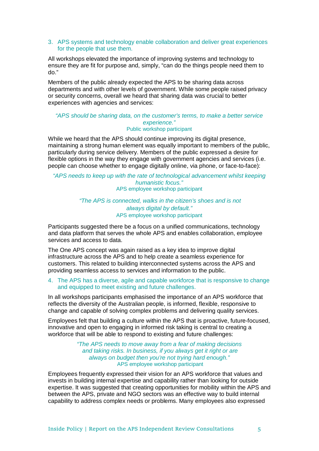#### 3. APS systems and technology enable collaboration and deliver great experiences for the people that use them.

All workshops elevated the importance of improving systems and technology to ensure they are fit for purpose and, simply, "can do the things people need them to do."

Members of the public already expected the APS to be sharing data across departments and with other levels of government. While some people raised privacy or security concerns, overall we heard that sharing data was crucial to better experiences with agencies and services:

#### *"APS should be sharing data, on the customer's terms, to make a better service experience."*  Public workshop participant

While we heard that the APS should continue improving its digital presence, maintaining a strong human element was equally important to members of the public, particularly during service delivery. Members of the public expressed a desire for flexible options in the way they engage with government agencies and services (i.e. people can choose whether to engage digitally online, via phone, or face-to-face):

#### *"APS needs to keep up with the rate of technological advancement whilst keeping humanistic focus."* APS employee workshop participant

## *"The APS is connected, walks in the citizen's shoes and is not always digital by default."* APS employee workshop participant

Participants suggested there be a focus on a unified communications, technology and data platform that serves the whole APS and enables collaboration, employee services and access to data.

The One APS concept was again raised as a key idea to improve digital infrastructure across the APS and to help create a seamless experience for customers. This related to building interconnected systems across the APS and providing seamless access to services and information to the public.

## 4. The APS has a diverse, agile and capable workforce that is responsive to change and equipped to meet existing and future challenges.

In all workshops participants emphasised the importance of an APS workforce that reflects the diversity of the Australian people, is informed, flexible, responsive to change and capable of solving complex problems and delivering quality services.

Employees felt that building a culture within the APS that is proactive, future-focused, innovative and open to engaging in informed risk taking is central to creating a workforce that will be able to respond to existing and future challenges:

### *"The APS needs to move away from a fear of making decisions and taking risks. In business, if you always get it right or are always on budget then you're not trying hard enough."* APS employee workshop participant

Employees frequently expressed their vision for an APS workforce that values and invests in building internal expertise and capability rather than looking for outside expertise. It was suggested that creating opportunities for mobility within the APS and between the APS, private and NGO sectors was an effective way to build internal capability to address complex needs or problems. Many employees also expressed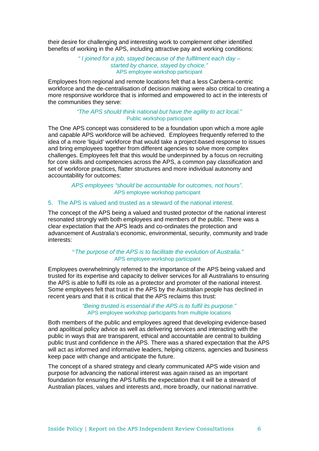their desire for challenging and interesting work to complement other identified benefits of working in the APS, including attractive pay and working conditions:

> *" I joined for a job, stayed because of the fulfilment each day – started by chance, stayed by choice."*  APS employee workshop participant

Employees from regional and remote locations felt that a less Canberra-centric workforce and the de-centralisation of decision making were also critical to creating a more responsive workforce that is informed and empowered to act in the interests of the communities they serve:

#### *"The APS should think national but have the agility to act local."* Public workshop participant

The One APS concept was considered to be a foundation upon which a more agile and capable APS workforce will be achieved. Employees frequently referred to the idea of a more 'liquid' workforce that would take a project-based response to issues and bring employees together from different agencies to solve more complex challenges. Employees felt that this would be underpinned by a focus on recruiting for core skills and competencies across the APS, a common pay classification and set of workforce practices, flatter structures and more individual autonomy and accountability for outcomes:

> *APS employees "should be accountable for outcomes, not hours".* APS employee workshop participant

## 5. The APS is valued and trusted as a steward of the national interest.

The concept of the APS being a valued and trusted protector of the national interest resonated strongly with both employees and members of the public. There was a clear expectation that the APS leads and co-ordinates the protection and advancement of Australia's economic, environmental, security, community and trade interests:

## *"The purpose of the APS is to facilitate the evolution of Australia."* APS employee workshop participant

Employees overwhelmingly referred to the importance of the APS being valued and trusted for its expertise and capacity to deliver services for all Australians to ensuring the APS is able to fulfil its role as a protector and promoter of the national interest. Some employees felt that trust in the APS by the Australian people has declined in recent years and that it is critical that the APS reclaims this trust:

#### *"Being trusted is essential if the APS is to fulfil its purpose."* APS employee workshop participants from multiple locations

Both members of the public and employees agreed that developing evidence-based and apolitical policy advice as well as delivering services and interacting with the public in ways that are transparent, ethical and accountable are central to building public trust and confidence in the APS. There was a shared expectation that the APS will act as informed and informative leaders, helping citizens, agencies and business keep pace with change and anticipate the future.

The concept of a shared strategy and clearly communicated APS wide vision and purpose for advancing the national interest was again raised as an important foundation for ensuring the APS fulfils the expectation that it will be a steward of Australian places, values and interests and, more broadly, our national narrative.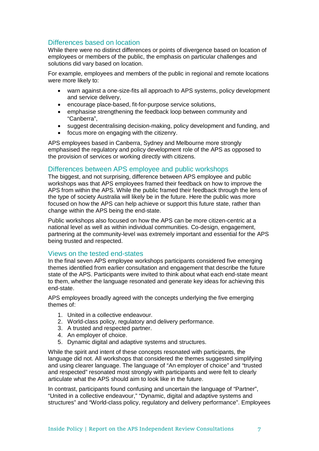## Differences based on location

While there were no distinct differences or points of divergence based on location of employees or members of the public, the emphasis on particular challenges and solutions did vary based on location.

For example, employees and members of the public in regional and remote locations were more likely to:

- warn against a one-size-fits all approach to APS systems, policy development and service delivery,
- encourage place-based, fit-for-purpose service solutions,
- emphasise strengthening the feedback loop between community and "Canberra",
- suggest decentralising decision-making, policy development and funding, and
- focus more on engaging with the citizenry.

APS employees based in Canberra, Sydney and Melbourne more strongly emphasised the regulatory and policy development role of the APS as opposed to the provision of services or working directly with citizens.

## Differences between APS employee and public workshops

The biggest, and not surprising, difference between APS employee and public workshops was that APS employees framed their feedback on how to improve the APS from within the APS. While the public framed their feedback through the lens of the type of society Australia will likely be in the future. Here the public was more focused on how the APS can help achieve or support this future state, rather than change within the APS being the end-state.

Public workshops also focused on how the APS can be more citizen-centric at a national level as well as within individual communities. Co-design, engagement, partnering at the community-level was extremely important and essential for the APS being trusted and respected.

## Views on the tested end-states

In the final seven APS employee workshops participants considered five emerging themes identified from earlier consultation and engagement that describe the future state of the APS. Participants were invited to think about what each end-state meant to them, whether the language resonated and generate key ideas for achieving this end-state.

APS employees broadly agreed with the concepts underlying the five emerging themes of:

- 1. United in a collective endeavour.
- 2. World-class policy, regulatory and delivery performance.
- 3. A trusted and respected partner.
- 4. An employer of choice.
- 5. Dynamic digital and adaptive systems and structures.

While the spirit and intent of these concepts resonated with participants, the language did not. All workshops that considered the themes suggested simplifying and using clearer language. The language of "An employer of choice" and "trusted and respected" resonated most strongly with participants and were felt to clearly articulate what the APS should aim to look like in the future.

In contrast, participants found confusing and uncertain the language of "Partner", "United in a collective endeavour," "Dynamic, digital and adaptive systems and structures" and "World-class policy, regulatory and delivery performance". Employees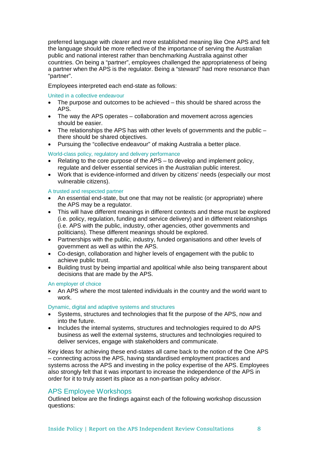preferred language with clearer and more established meaning like One APS and felt the language should be more reflective of the importance of serving the Australian public and national interest rather than benchmarking Australia against other countries. On being a "partner", employees challenged the appropriateness of being a partner when the APS is the regulator. Being a "steward" had more resonance than "partner".

Employees interpreted each end-state as follows:

## United in a collective endeavour

- The purpose and outcomes to be achieved this should be shared across the APS.
- The way the APS operates collaboration and movement across agencies should be easier.
- The relationships the APS has with other levels of governments and the public there should be shared objectives.
- Pursuing the "collective endeavour" of making Australia a better place.

## World-class policy, regulatory and delivery performance

- Relating to the core purpose of the APS to develop and implement policy, regulate and deliver essential services in the Australian public interest.
- Work that is evidence-informed and driven by citizens' needs (especially our most vulnerable citizens).

## A trusted and respected partner

- An essential end-state, but one that may not be realistic (or appropriate) where the APS may be a regulator.
- This will have different meanings in different contexts and these must be explored (i.e. policy, regulation, funding and service delivery) and in different relationships (i.e. APS with the public, industry, other agencies, other governments and politicians). These different meanings should be explored.
- Partnerships with the public, industry, funded organisations and other levels of government as well as within the APS.
- Co-design, collaboration and higher levels of engagement with the public to achieve public trust.
- Building trust by being impartial and apolitical while also being transparent about decisions that are made by the APS.

### An employer of choice

• An APS where the most talented individuals in the country and the world want to work.

### Dynamic, digital and adaptive systems and structures

- Systems, structures and technologies that fit the purpose of the APS, now and into the future.
- Includes the internal systems, structures and technologies required to do APS business as well the external systems, structures and technologies required to deliver services, engage with stakeholders and communicate.

Key ideas for achieving these end-states all came back to the notion of the One APS – connecting across the APS, having standardised employment practices and systems across the APS and investing in the policy expertise of the APS. Employees also strongly felt that it was important to increase the independence of the APS in order for it to truly assert its place as a non-partisan policy advisor.

## APS Employee Workshops

Outlined below are the findings against each of the following workshop discussion questions: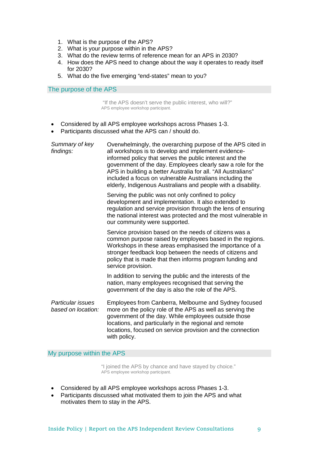- 1. What is the purpose of the APS?
- 2. What is your purpose within in the APS?
- 3. What do the review terms of reference mean for an APS in 2030?
- 4. How does the APS need to change about the way it operates to ready itself for 2030?
- 5. What do the five emerging "end-states" mean to you?

The purpose of the APS

"If the APS doesn't serve the public interest, who will?" APS employee workshop participant.

- Considered by all APS employee workshops across Phases 1-3.
- Participants discussed what the APS can / should do.

| Summary of key<br>findings:             | Overwhelmingly, the overarching purpose of the APS cited in<br>all workshops is to develop and implement evidence-<br>informed policy that serves the public interest and the<br>government of the day. Employees clearly saw a role for the<br>APS in building a better Australia for all. "All Australians"<br>included a focus on vulnerable Australians including the<br>elderly, Indigenous Australians and people with a disability. |
|-----------------------------------------|--------------------------------------------------------------------------------------------------------------------------------------------------------------------------------------------------------------------------------------------------------------------------------------------------------------------------------------------------------------------------------------------------------------------------------------------|
|                                         | Serving the public was not only confined to policy<br>development and implementation. It also extended to<br>regulation and service provision through the lens of ensuring<br>the national interest was protected and the most vulnerable in<br>our community were supported.                                                                                                                                                              |
|                                         | Service provision based on the needs of citizens was a<br>common purpose raised by employees based in the regions.<br>Workshops in these areas emphasised the importance of a<br>stronger feedback loop between the needs of citizens and<br>policy that is made that then informs program funding and<br>service provision.                                                                                                               |
|                                         | In addition to serving the public and the interests of the<br>nation, many employees recognised that serving the<br>government of the day is also the role of the APS.                                                                                                                                                                                                                                                                     |
| Particular issues<br>based on location: | Employees from Canberra, Melbourne and Sydney focused<br>more on the policy role of the APS as well as serving the<br>government of the day. While employees outside those<br>locations, and particularly in the regional and remote<br>locations, focused on service provision and the connection<br>with policy.                                                                                                                         |

My purpose within the APS

"I joined the APS by chance and have stayed by choice." APS employee workshop participant.

- Considered by all APS employee workshops across Phases 1-3.
- Participants discussed what motivated them to join the APS and what motivates them to stay in the APS.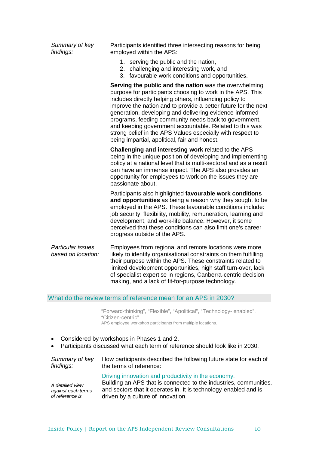| Summary of key<br>findings:             | Participants identified three intersecting reasons for being<br>employed within the APS:                                                                                                                                                                                                                                                                                                                                                                                                                                                        |
|-----------------------------------------|-------------------------------------------------------------------------------------------------------------------------------------------------------------------------------------------------------------------------------------------------------------------------------------------------------------------------------------------------------------------------------------------------------------------------------------------------------------------------------------------------------------------------------------------------|
|                                         | 1. serving the public and the nation,<br>2. challenging and interesting work, and<br>3. favourable work conditions and opportunities.                                                                                                                                                                                                                                                                                                                                                                                                           |
|                                         | Serving the public and the nation was the overwhelming<br>purpose for participants choosing to work in the APS. This<br>includes directly helping others, influencing policy to<br>improve the nation and to provide a better future for the next<br>generation, developing and delivering evidence-informed<br>programs, feeding community needs back to government,<br>and keeping government accountable. Related to this was<br>strong belief in the APS Values especially with respect to<br>being impartial, apolitical, fair and honest. |
|                                         | Challenging and interesting work related to the APS<br>being in the unique position of developing and implementing<br>policy at a national level that is multi-sectoral and as a result<br>can have an immense impact. The APS also provides an<br>opportunity for employees to work on the issues they are<br>passionate about.                                                                                                                                                                                                                |
|                                         | Participants also highlighted favourable work conditions<br>and opportunities as being a reason why they sought to be<br>employed in the APS. These favourable conditions include:<br>job security, flexibility, mobility, remuneration, learning and<br>development, and work-life balance. However, it some<br>perceived that these conditions can also limit one's career<br>progress outside of the APS.                                                                                                                                    |
| Particular issues<br>based on location: | Employees from regional and remote locations were more<br>likely to identify organisational constraints on them fulfilling<br>their purpose within the APS. These constraints related to<br>limited development opportunities, high staff turn-over, lack<br>of specialist expertise in regions, Canberra-centric decision                                                                                                                                                                                                                      |

## What do the review terms of reference mean for an APS in 2030?

"Forward-thinking", "Flexible", "Apolitical", "Technology- enabled", "Citizen-centric". APS employee workshop participants from multiple locations.

making, and a lack of fit-for-purpose technology.

- Considered by workshops in Phases 1 and 2.
- Participants discussed what each term of reference should look like in 2030.

| Summary of key                                           | How participants described the following future state for each of                                                                                                                                                                  |
|----------------------------------------------------------|------------------------------------------------------------------------------------------------------------------------------------------------------------------------------------------------------------------------------------|
| findings:                                                | the terms of reference:                                                                                                                                                                                                            |
| A detailed view<br>against each terms<br>of reference is | Driving innovation and productivity in the economy.<br>Building an APS that is connected to the industries, communities,<br>and sectors that it operates in. It is technology-enabled and is<br>driven by a culture of innovation. |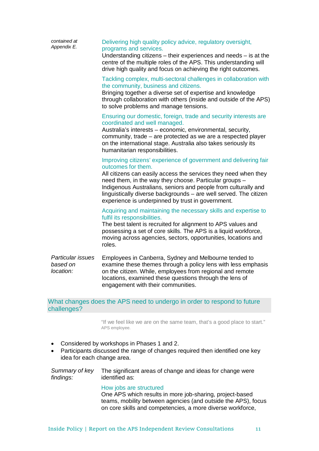| contained at<br>Appendix E.                | Delivering high quality policy advice, regulatory oversight,<br>programs and services.<br>Understanding citizens $-$ their experiences and needs $-$ is at the<br>centre of the multiple roles of the APS. This understanding will<br>drive high quality and focus on achieving the right outcomes.                                                                                                             |
|--------------------------------------------|-----------------------------------------------------------------------------------------------------------------------------------------------------------------------------------------------------------------------------------------------------------------------------------------------------------------------------------------------------------------------------------------------------------------|
|                                            | Tackling complex, multi-sectoral challenges in collaboration with<br>the community, business and citizens.<br>Bringing together a diverse set of expertise and knowledge<br>through collaboration with others (inside and outside of the APS)<br>to solve problems and manage tensions.                                                                                                                         |
|                                            | Ensuring our domestic, foreign, trade and security interests are<br>coordinated and well managed.<br>Australia's interests - economic, environmental, security,<br>community, trade - are protected as we are a respected player<br>on the international stage. Australia also takes seriously its<br>humanitarian responsibilities.                                                                            |
|                                            | Improving citizens' experience of government and delivering fair<br>outcomes for them.<br>All citizens can easily access the services they need when they<br>need them, in the way they choose. Particular groups -<br>Indigenous Australians, seniors and people from culturally and<br>linguistically diverse backgrounds - are well served. The citizen<br>experience is underpinned by trust in government. |
|                                            | Acquiring and maintaining the necessary skills and expertise to<br>fulfil its responsibilities.<br>The best talent is recruited for alignment to APS values and<br>possessing a set of core skills. The APS is a liquid workforce,<br>moving across agencies, sectors, opportunities, locations and<br>roles.                                                                                                   |
| Particular issues<br>based on<br>location: | Employees in Canberra, Sydney and Melbourne tended to<br>examine these themes through a policy lens with less emphasis<br>on the citizen. While, employees from regional and remote<br>locations, examined these questions through the lens of<br>engagement with their communities.                                                                                                                            |
|                                            | What changes does the APS need to undergo in order to respond to future                                                                                                                                                                                                                                                                                                                                         |

## ianges does the APS need to undergo in order to respond to future challenges?

"If we feel like we are on the same team, that's a good place to start." APS employee.

- Considered by workshops in Phases 1 and 2.
- Participants discussed the range of changes required then identified one key idea for each change area.

|           | Summary of key The significant areas of change and ideas for change were |
|-----------|--------------------------------------------------------------------------|
| findings: | identified as:                                                           |

How jobs are structured One APS which results in more job-sharing, project-based teams, mobility between agencies (and outside the APS), focus on core skills and competencies, a more diverse workforce,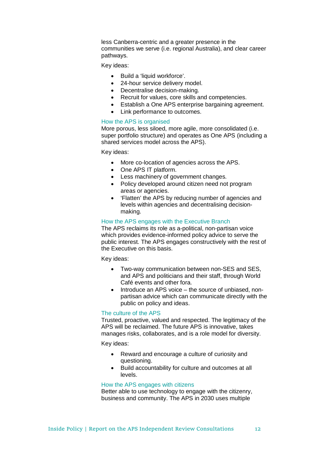less Canberra-centric and a greater presence in the communities we serve (i.e. regional Australia), and clear career pathways.

Key ideas:

- Build a 'liquid workforce'.
- 24-hour service delivery model.
- Decentralise decision-making.
- Recruit for values, core skills and competencies.
- Establish a One APS enterprise bargaining agreement.
- Link performance to outcomes.

## How the APS is organised

More porous, less siloed, more agile, more consolidated (i.e. super portfolio structure) and operates as One APS (including a shared services model across the APS).

Key ideas:

- More co-location of agencies across the APS.
- One APS IT platform.
- Less machinery of government changes.
- Policy developed around citizen need not program areas or agencies.
- 'Flatten' the APS by reducing number of agencies and levels within agencies and decentralising decisionmaking.

## How the APS engages with the Executive Branch

The APS reclaims its role as a-political, non-partisan voice which provides evidence-informed policy advice to serve the public interest. The APS engages constructively with the rest of the Executive on this basis.

Key ideas:

- Two-way communication between non-SES and SES, and APS and politicians and their staff, through World Café events and other fora.
- Introduce an APS voice the source of unbiased, nonpartisan advice which can communicate directly with the public on policy and ideas.

#### The culture of the APS

Trusted, proactive, valued and respected. The legitimacy of the APS will be reclaimed. The future APS is innovative, takes manages risks, collaborates, and is a role model for diversity.

Key ideas:

- Reward and encourage a culture of curiosity and questioning.
- Build accountability for culture and outcomes at all levels.

## How the APS engages with citizens

Better able to use technology to engage with the citizenry, business and community. The APS in 2030 uses multiple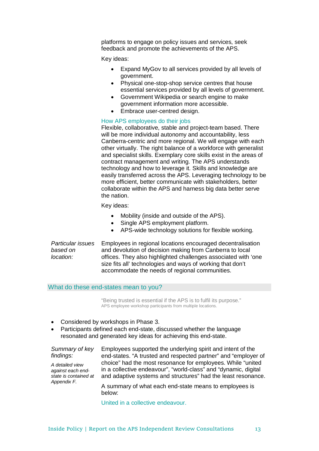platforms to engage on policy issues and services, seek feedback and promote the achievements of the APS.

Key ideas:

- Expand MyGov to all services provided by all levels of government.
- Physical one-stop-shop service centres that house essential services provided by all levels of government.
- Government Wikipedia or search engine to make government information more accessible.
- Embrace user-centred design.

## How APS employees do their jobs

Flexible, collaborative, stable and project-team based. There will be more individual autonomy and accountability, less Canberra-centric and more regional. We will engage with each other virtually. The right balance of a workforce with generalist and specialist skills. Exemplary core skills exist in the areas of contract management and writing. The APS understands technology and how to leverage it. Skills and knowledge are easily transferred across the APS. Leveraging technology to be more efficient, better communicate with stakeholders, better collaborate within the APS and harness big data better serve the nation.

Key ideas:

- Mobility (inside and outside of the APS).
- Single APS employment platform.
- APS-wide technology solutions for flexible working.

*Particular issues based on location:* Employees in regional locations encouraged decentralisation and devolution of decision making from Canberra to local offices. They also highlighted challenges associated with 'one size fits all' technologies and ways of working that don't accommodate the needs of regional communities.

#### What do these end-states mean to you?

"Being trusted is essential if the APS is to fulfil its purpose." APS employee workshop participants from multiple locations.

- Considered by workshops in Phase 3.
- Participants defined each end-state, discussed whether the language resonated and generated key ideas for achieving this end-state.

#### *Summary of key findings:*

*A detailed view against each endstate is contained at Appendix F.*

Employees supported the underlying spirit and intent of the end-states. "A trusted and respected partner" and "employer of choice" had the most resonance for employees. While "united in a collective endeavour", "world-class" and "dynamic, digital and adaptive systems and structures" had the least resonance.

A summary of what each end-state means to employees is below:

United in a collective endeavour.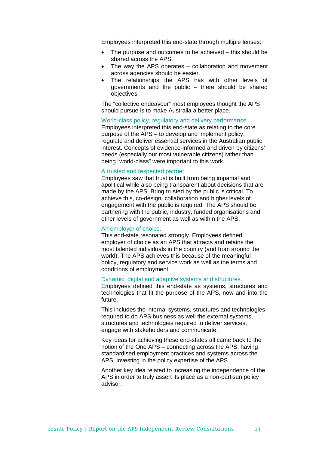Employees interpreted this end-state through multiple lenses:

- The purpose and outcomes to be achieved this should be shared across the APS.
- The way the APS operates collaboration and movement across agencies should be easier.
- The relationships the APS has with other levels of governments and the public – there should be shared objectives.

The "collective endeavour" most employees thought the APS should pursue is to make Australia a better place.

World-class policy, regulatory and delivery performance. Employees interpreted this end-state as relating to the core purpose of the APS – to develop and implement policy, regulate and deliver essential services in the Australian public interest. Concepts of evidence-informed and driven by citizens' needs (especially our most vulnerable citizens) rather than being "world-class" were important to this work.

#### A trusted and respected partner.

Employees saw that trust is built from being impartial and apolitical while also being transparent about decisions that are made by the APS. Bring trusted by the public is critical. To achieve this, co-design, collaboration and higher levels of engagement with the public is required. The APS should be partnering with the public, industry, funded organisations and other levels of government as well as within the APS.

#### An employer of choice.

This end-state resonated strongly. Employees defined employer of choice as an APS that attracts and retains the most talented individuals in the country (and from around the world). The APS achieves this because of the meaningful policy, regulatory and service work as well as the terms and conditions of employment.

#### Dynamic, digital and adaptive systems and structures.

Employees defined this end-state as systems, structures and technologies that fit the purpose of the APS, now and into the future.

This includes the internal systems, structures and technologies required to do APS business as well the external systems, structures and technologies required to deliver services, engage with stakeholders and communicate.

Key ideas for achieving these end-states all came back to the notion of the One APS – connecting across the APS, having standardised employment practices and systems across the APS, investing in the policy expertise of the APS.

Another key idea related to increasing the independence of the APS in order to truly assert its place as a non-partisan policy advisor.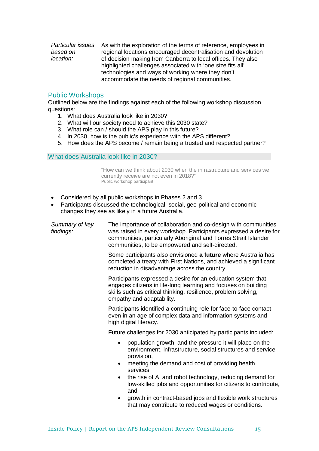*Particular issues based on location:* As with the exploration of the terms of reference, employees in regional locations encouraged decentralisation and devolution of decision making from Canberra to local offices. They also highlighted challenges associated with 'one size fits all' technologies and ways of working where they don't accommodate the needs of regional communities.

## Public Workshops

Outlined below are the findings against each of the following workshop discussion questions:

- 1. What does Australia look like in 2030?
- 2. What will our society need to achieve this 2030 state?
- 3. What role can / should the APS play in this future?
- 4. In 2030, how is the public's experience with the APS different?
- 5. How does the APS become / remain being a trusted and respected partner?

What does Australia look like in 2030?

"How can we think about 2030 when the infrastructure and services we currently receive are not even in 2018?" Public workshop participant.

- Considered by all public workshops in Phases 2 and 3.
- Participants discussed the technological, social, geo-political and economic changes they see as likely in a future Australia.

*Summary of key findings:* The importance of collaboration and co-design with communities was raised in every workshop. Participants expressed a desire for communities, particularly Aboriginal and Torres Strait Islander communities, to be empowered and self-directed. Some participants also envisioned **a future** where Australia has completed a treaty with First Nations, and achieved a significant reduction in disadvantage across the country. Participants expressed a desire for an education system that engages citizens in life-long learning and focuses on building skills such as critical thinking, resilience, problem solving, empathy and adaptability. Participants identified a continuing role for face-to-face contact even in an age of complex data and information systems and high digital literacy. Future challenges for 2030 anticipated by participants included: • population growth, and the pressure it will place on the environment, infrastructure, social structures and service provision, • meeting the demand and cost of providing health services, the rise of AI and robot technology, reducing demand for low-skilled jobs and opportunities for citizens to contribute, and • growth in contract-based jobs and flexible work structures that may contribute to reduced wages or conditions.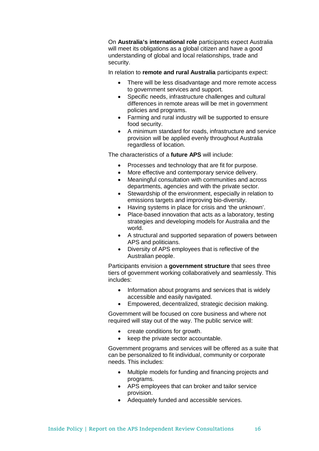On **Australia's international role** participants expect Australia will meet its obligations as a global citizen and have a good understanding of global and local relationships, trade and security.

In relation to **remote and rural Australia** participants expect:

- There will be less disadvantage and more remote access to government services and support.
- Specific needs, infrastructure challenges and cultural differences in remote areas will be met in government policies and programs.
- Farming and rural industry will be supported to ensure food security.
- A minimum standard for roads, infrastructure and service provision will be applied evenly throughout Australia regardless of location.

The characteristics of a **future APS** will include:

- Processes and technology that are fit for purpose.
- More effective and contemporary service delivery.
- Meaningful consultation with communities and across departments, agencies and with the private sector.
- Stewardship of the environment, especially in relation to emissions targets and improving bio-diversity.
- Having systems in place for crisis and 'the unknown'.
- Place-based innovation that acts as a laboratory, testing strategies and developing models for Australia and the world.
- A structural and supported separation of powers between APS and politicians.
- Diversity of APS employees that is reflective of the Australian people.

Participants envision a **government structure** that sees three tiers of government working collaboratively and seamlessly. This includes:

- Information about programs and services that is widely accessible and easily navigated.
- Empowered, decentralized, strategic decision making.

Government will be focused on core business and where not required will stay out of the way. The public service will:

- create conditions for growth.
- keep the private sector accountable.

Government programs and services will be offered as a suite that can be personalized to fit individual, community or corporate needs. This includes:

- Multiple models for funding and financing projects and programs.
- APS employees that can broker and tailor service provision.
- Adequately funded and accessible services.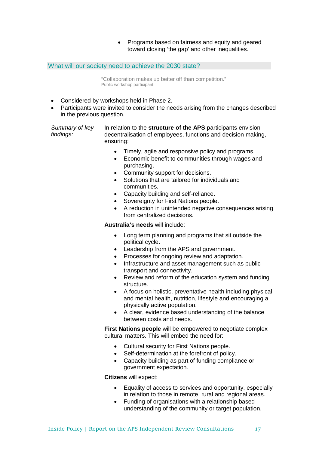• Programs based on fairness and equity and geared toward closing 'the gap' and other inequalities.

## What will our society need to achieve the 2030 state?

"Collaboration makes up better off than competition." Public workshop participant.

- Considered by workshops held in Phase 2.
- Participants were invited to consider the needs arising from the changes described in the previous question.

*Summary of key findings:* In relation to the **structure of the APS** participants envision decentralisation of employees, functions and decision making, ensuring:

- Timely, agile and responsive policy and programs.
- Economic benefit to communities through wages and purchasing.
- Community support for decisions.
- Solutions that are tailored for individuals and communities.
- Capacity building and self-reliance.
- Sovereignty for First Nations people.
- A reduction in unintended negative consequences arising from centralized decisions.

## **Australia's needs** will include:

- Long term planning and programs that sit outside the political cycle.
- Leadership from the APS and government.
- Processes for ongoing review and adaptation.
- Infrastructure and asset management such as public transport and connectivity.
- Review and reform of the education system and funding structure.
- A focus on holistic, preventative health including physical and mental health, nutrition, lifestyle and encouraging a physically active population.
- A clear, evidence based understanding of the balance between costs and needs.

**First Nations people** will be empowered to negotiate complex cultural matters. This will embed the need for:

- Cultural security for First Nations people.
- Self-determination at the forefront of policy.
- Capacity building as part of funding compliance or government expectation.

**Citizens** will expect:

- Equality of access to services and opportunity, especially in relation to those in remote, rural and regional areas.
- Funding of organisations with a relationship based understanding of the community or target population.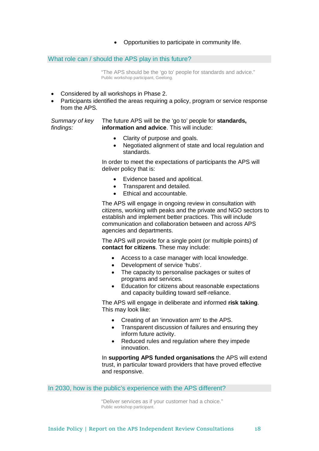• Opportunities to participate in community life.

## What role can / should the APS play in this future?

"The APS should be the 'go to' people for standards and advice." Public workshop participant, Geelong.

- Considered by all workshops in Phase 2.
- Participants identified the areas requiring a policy, program or service response from the APS.

*Summary of key findings:*

The future APS will be the 'go to' people for **standards, information and advice**. This will include:

- Clarity of purpose and goals.
- Negotiated alignment of state and local regulation and standards.

In order to meet the expectations of participants the APS will deliver policy that is:

- Evidence based and apolitical.
- Transparent and detailed.
- Ethical and accountable.

The APS will engage in ongoing review in consultation with citizens, working with peaks and the private and NGO sectors to establish and implement better practices. This will include communication and collaboration between and across APS agencies and departments.

The APS will provide for a single point (or multiple points) of **contact for citizens**. These may include:

- Access to a case manager with local knowledge.
- Development of service 'hubs'.
- The capacity to personalise packages or suites of programs and services.
- Education for citizens about reasonable expectations and capacity building toward self-reliance.

The APS will engage in deliberate and informed **risk taking**. This may look like:

- Creating of an 'innovation arm' to the APS.
- Transparent discussion of failures and ensuring they inform future activity.
- Reduced rules and regulation where they impede innovation.

In **supporting APS funded organisations** the APS will extend trust, in particular toward providers that have proved effective and responsive.

In 2030, how is the public's experience with the APS different?

"Deliver services as if your customer had a choice." Public workshop participant.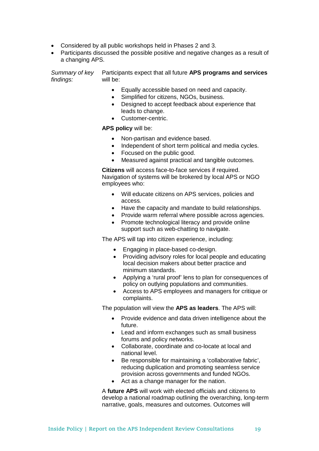- Considered by all public workshops held in Phases 2 and 3.
- Participants discussed the possible positive and negative changes as a result of a changing APS.

*Summary of key findings:* Participants expect that all future **APS programs and services** will be:

- Equally accessible based on need and capacity.
- Simplified for citizens, NGOs, business.
- Designed to accept feedback about experience that leads to change.
- Customer-centric.

**APS policy** will be:

- Non-partisan and evidence based.
- Independent of short term political and media cycles.
- Focused on the public good.
- Measured against practical and tangible outcomes.

**Citizens** will access face-to-face services if required. Navigation of systems will be brokered by local APS or NGO employees who:

- Will educate citizens on APS services, policies and access.
- Have the capacity and mandate to build relationships.
- Provide warm referral where possible across agencies.
- Promote technological literacy and provide online support such as web-chatting to navigate.

The APS will tap into citizen experience, including:

- Engaging in place-based co-design.
- Providing advisory roles for local people and educating local decision makers about better practice and minimum standards.
- Applying a 'rural proof' lens to plan for consequences of policy on outlying populations and communities.
- Access to APS employees and managers for critique or complaints.

The population will view the **APS as leaders**. The APS will:

- Provide evidence and data driven intelligence about the future.
- Lead and inform exchanges such as small business forums and policy networks.
- Collaborate, coordinate and co-locate at local and national level.
- Be responsible for maintaining a 'collaborative fabric', reducing duplication and promoting seamless service provision across governments and funded NGOs.
- Act as a change manager for the nation.

A **future APS** will work with elected officials and citizens to develop a national roadmap outlining the overarching, long-term narrative, goals, measures and outcomes. Outcomes will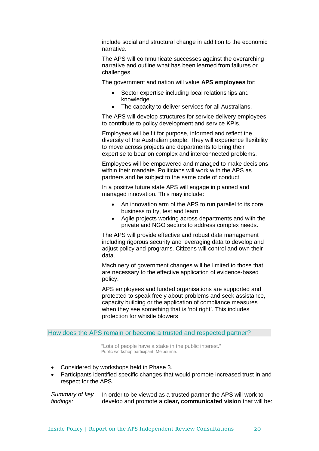include social and structural change in addition to the economic narrative.

The APS will communicate successes against the overarching narrative and outline what has been learned from failures or challenges.

The government and nation will value **APS employees** for:

- Sector expertise including local relationships and knowledge.
- The capacity to deliver services for all Australians.

The APS will develop structures for service delivery employees to contribute to policy development and service KPIs.

Employees will be fit for purpose, informed and reflect the diversity of the Australian people. They will experience flexibility to move across projects and departments to bring their expertise to bear on complex and interconnected problems.

Employees will be empowered and managed to make decisions within their mandate. Politicians will work with the APS as partners and be subject to the same code of conduct.

In a positive future state APS will engage in planned and managed innovation. This may include:

- An innovation arm of the APS to run parallel to its core business to try, test and learn.
- Agile projects working across departments and with the private and NGO sectors to address complex needs.

The APS will provide effective and robust data management including rigorous security and leveraging data to develop and adjust policy and programs. Citizens will control and own their data.

Machinery of government changes will be limited to those that are necessary to the effective application of evidence-based policy.

APS employees and funded organisations are supported and protected to speak freely about problems and seek assistance, capacity building or the application of compliance measures when they see something that is 'not right'. This includes protection for whistle blowers

#### How does the APS remain or become a trusted and respected partner?

"Lots of people have a stake in the public interest." Public workshop participant, Melbourne.

- Considered by workshops held in Phase 3.
- Participants identified specific changes that would promote increased trust in and respect for the APS.

*Summary of key findings:* In order to be viewed as a trusted partner the APS will work to develop and promote a **clear, communicated vision** that will be: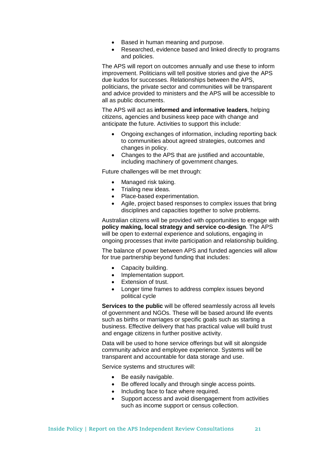- Based in human meaning and purpose.
- Researched, evidence based and linked directly to programs and policies.

The APS will report on outcomes annually and use these to inform improvement. Politicians will tell positive stories and give the APS due kudos for successes. Relationships between the APS, politicians, the private sector and communities will be transparent and advice provided to ministers and the APS will be accessible to all as public documents.

The APS will act as **informed and informative leaders**, helping citizens, agencies and business keep pace with change and anticipate the future. Activities to support this include:

- Ongoing exchanges of information, including reporting back to communities about agreed strategies, outcomes and changes in policy.
- Changes to the APS that are justified and accountable, including machinery of government changes.

Future challenges will be met through:

- Managed risk taking.
- Trialing new ideas.
- Place-based experimentation.
- Agile, project based responses to complex issues that bring disciplines and capacities together to solve problems.

Australian citizens will be provided with opportunities to engage with **policy making, local strategy and service co-design**. The APS will be open to external experience and solutions, engaging in ongoing processes that invite participation and relationship building.

The balance of power between APS and funded agencies will allow for true partnership beyond funding that includes:

- Capacity building.
- Implementation support.
- Extension of trust.
- Longer time frames to address complex issues beyond political cycle

**Services to the public** will be offered seamlessly across all levels of government and NGOs. These will be based around life events such as births or marriages or specific goals such as starting a business. Effective delivery that has practical value will build trust and engage citizens in further positive activity.

Data will be used to hone service offerings but will sit alongside community advice and employee experience. Systems will be transparent and accountable for data storage and use.

Service systems and structures will:

- Be easily navigable.
- Be offered locally and through single access points.
- Including face to face where required.
- Support access and avoid disengagement from activities such as income support or census collection.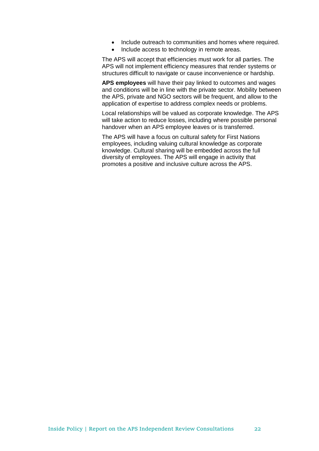- Include outreach to communities and homes where required.
- Include access to technology in remote areas.

The APS will accept that efficiencies must work for all parties. The APS will not implement efficiency measures that render systems or structures difficult to navigate or cause inconvenience or hardship.

**APS employees** will have their pay linked to outcomes and wages and conditions will be in line with the private sector. Mobility between the APS, private and NGO sectors will be frequent, and allow to the application of expertise to address complex needs or problems.

Local relationships will be valued as corporate knowledge. The APS will take action to reduce losses, including where possible personal handover when an APS employee leaves or is transferred.

The APS will have a focus on cultural safety for First Nations employees, including valuing cultural knowledge as corporate knowledge. Cultural sharing will be embedded across the full diversity of employees. The APS will engage in activity that promotes a positive and inclusive culture across the APS.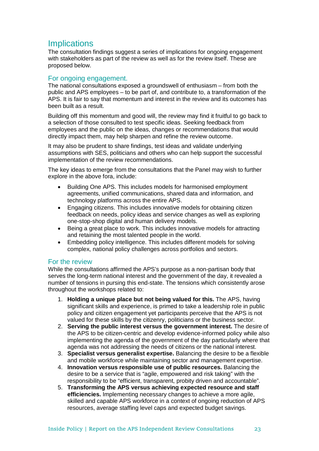## **Implications**

The consultation findings suggest a series of implications for ongoing engagement with stakeholders as part of the review as well as for the review itself. These are proposed below.

## For ongoing engagement.

The national consultations exposed a groundswell of enthusiasm – from both the public and APS employees – to be part of, and contribute to, a transformation of the APS. It is fair to say that momentum and interest in the review and its outcomes has been built as a result.

Building off this momentum and good will, the review may find it fruitful to go back to a selection of those consulted to test specific ideas. Seeking feedback from employees and the public on the ideas, changes or recommendations that would directly impact them, may help sharpen and refine the review outcome.

It may also be prudent to share findings, test ideas and validate underlying assumptions with SES, politicians and others who can help support the successful implementation of the review recommendations.

The key ideas to emerge from the consultations that the Panel may wish to further explore in the above fora, include:

- Building One APS. This includes models for harmonised employment agreements, unified communications, shared data and information, and technology platforms across the entire APS.
- Engaging citizens. This includes innovative models for obtaining citizen feedback on needs, policy ideas and service changes as well as exploring one-stop-shop digital and human delivery models.
- Being a great place to work. This includes innovative models for attracting and retaining the most talented people in the world.
- Embedding policy intelligence. This includes different models for solving complex, national policy challenges across portfolios and sectors.

## For the review

While the consultations affirmed the APS's purpose as a non-partisan body that serves the long-term national interest and the government of the day, it revealed a number of tensions in pursing this end-state. The tensions which consistently arose throughout the workshops related to:

- 1. **Holding a unique place but not being valued for this.** The APS, having significant skills and experience, is primed to take a leadership role in public policy and citizen engagement yet participants perceive that the APS is not valued for these skills by the citizenry, politicians or the business sector.
- 2. **Serving the public interest versus the government interest.** The desire of the APS to be citizen-centric and develop evidence-informed policy while also implementing the agenda of the government of the day particularly where that agenda was not addressing the needs of citizens or the national interest.
- 3. **Specialist versus generalist expertise.** Balancing the desire to be a flexible and mobile workforce while maintaining sector and management expertise.
- 4. **Innovation versus responsible use of public resources.** Balancing the desire to be a service that is "agile, empowered and risk taking" with the responsibility to be "efficient, transparent, probity driven and accountable".
- 5. **Transforming the APS versus achieving expected resource and staff efficiencies.** Implementing necessary changes to achieve a more agile, skilled and capable APS workforce in a context of ongoing reduction of APS resources, average staffing level caps and expected budget savings.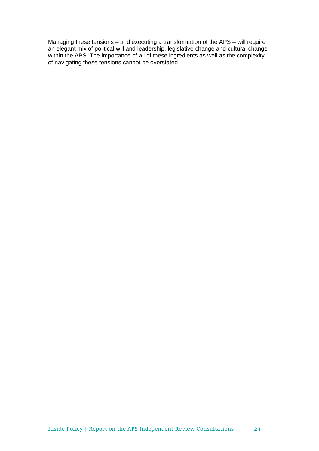Managing these tensions – and executing a transformation of the APS – will require an elegant mix of political will and leadership, legislative change and cultural change within the APS. The importance of all of these ingredients as well as the complexity of navigating these tensions cannot be overstated.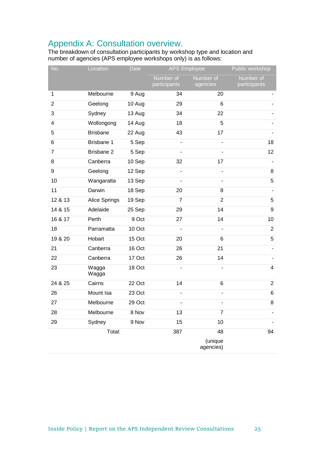## Appendix A: Consultation overview.

The breakdown of consultation participants by workshop type and location and number of agencies (APS employee workshops only) is as follows:

| No.            | Location        | Date   | <b>APS Employee</b>       |                       | Public workshop           |
|----------------|-----------------|--------|---------------------------|-----------------------|---------------------------|
|                |                 |        | Number of<br>participants | Number of<br>agencies | Number of<br>participants |
| 1              | Melbourne       | 9 Aug  | 34                        | 20                    |                           |
| $\overline{2}$ | Geelong         | 10 Aug | 29                        | 6                     |                           |
| 3              | Sydney          | 13 Aug | 34                        | 22                    |                           |
| 4              | Wollongong      | 14 Aug | 18                        | 5                     |                           |
| 5              | <b>Brisbane</b> | 22 Aug | 43                        | 17                    |                           |
| 6              | Brisbane 1      | 5 Sep  | $\blacksquare$            | ÷,                    | 18                        |
| 7              | Brisbane 2      | 5 Sep  | $\blacksquare$            |                       | 12                        |
| 8              | Canberra        | 10 Sep | 32                        | 17                    |                           |
| 9              | Geelong         | 12 Sep |                           |                       | 8                         |
| 10             | Wangaratta      | 13 Sep | $\blacksquare$            | $\blacksquare$        | 5                         |
| 11             | Darwin          | 18 Sep | 20                        | 8                     |                           |
| 12 & 13        | Alice Springs   | 19 Sep | $\overline{7}$            | $\overline{2}$        | 5                         |
| 14 & 15        | Adelaide        | 25 Sep | 29                        | 14                    | $\boldsymbol{9}$          |
| 16 & 17        | Perth           | 9 Oct  | 27                        | 14                    | 10                        |
| 18             | Parramatta      | 10 Oct |                           |                       | $\overline{2}$            |
| 19 & 20        | Hobart          | 15 Oct | 20                        | 6                     | 5                         |
| 21             | Canberra        | 16 Oct | 26                        | 21                    |                           |
| 22             | Canberra        | 17 Oct | 26                        | 14                    |                           |
| 23             | Wagga<br>Wagga  | 18 Oct |                           |                       | 4                         |
| 24 & 25        | Cairns          | 22 Oct | 14                        | 6                     | $\overline{2}$            |
| 26             | Mount Isa       | 23 Oct |                           |                       | 6                         |
| 27             | Melbourne       | 29 Oct |                           |                       | 8                         |
| 28             | Melbourne       | 8 Nov  | 13                        | $\overline{7}$        |                           |
| 29             | Sydney          | 9 Nov  | 15                        | 10                    |                           |
|                | Total:          |        | 387                       | 48                    | 94                        |
|                |                 |        |                           | (unique<br>agencies)  |                           |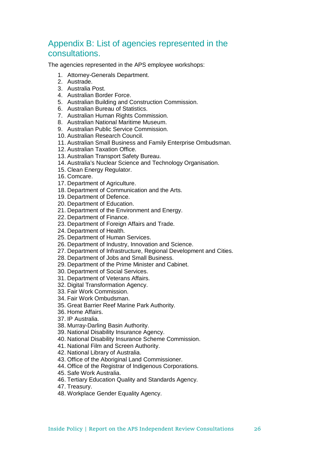## Appendix B: List of agencies represented in the consultations.

The agencies represented in the APS employee workshops:

- 1. Attorney-Generals Department.
- 2. Austrade.
- 3. Australia Post.
- 4. Australian Border Force.
- 5. Australian Building and Construction Commission.
- 6. Australian Bureau of Statistics.
- 7. Australian Human Rights Commission.
- 8. Australian National Maritime Museum.
- 9. Australian Public Service Commission.
- 10. Australian Research Council.
- 11. Australian Small Business and Family Enterprise Ombudsman.
- 12. Australian Taxation Office.
- 13. Australian Transport Safety Bureau.
- 14. Australia's Nuclear Science and Technology Organisation.
- 15. Clean Energy Regulator.
- 16. Comcare.
- 17. Department of Agriculture.
- 18. Department of Communication and the Arts.
- 19. Department of Defence.
- 20. Department of Education.
- 21. Department of the Environment and Energy.
- 22. Department of Finance.
- 23. Department of Foreign Affairs and Trade.
- 24. Department of Health.
- 25. Department of Human Services.
- 26. Department of Industry, Innovation and Science.
- 27. Department of Infrastructure, Regional Development and Cities.
- 28. Department of Jobs and Small Business.
- 29. Department of the Prime Minister and Cabinet.
- 30. Department of Social Services.
- 31. Department of Veterans Affairs.
- 32. Digital Transformation Agency.
- 33. Fair Work Commission.
- 34. Fair Work Ombudsman.
- 35. Great Barrier Reef Marine Park Authority.
- 36. Home Affairs.
- 37. IP Australia.
- 38. Murray-Darling Basin Authority.
- 39. National Disability Insurance Agency.
- 40. National Disability Insurance Scheme Commission.
- 41. National Film and Screen Authority.
- 42. National Library of Australia.
- 43. Office of the Aboriginal Land Commissioner.
- 44. Office of the Registrar of Indigenous Corporations.
- 45. Safe Work Australia.
- 46. Tertiary Education Quality and Standards Agency.
- 47. Treasury.
- 48. Workplace Gender Equality Agency.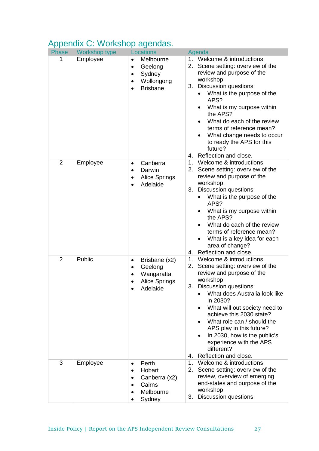|                | Apponant O. Workshop agonado. |                                                                                                                                  |                                                                                                                                                                                                                                                                                                                                                                                     |
|----------------|-------------------------------|----------------------------------------------------------------------------------------------------------------------------------|-------------------------------------------------------------------------------------------------------------------------------------------------------------------------------------------------------------------------------------------------------------------------------------------------------------------------------------------------------------------------------------|
| Phase          | Workshop type                 | <b>Locations</b>                                                                                                                 | Agenda<br>1. Welcome & introductions.                                                                                                                                                                                                                                                                                                                                               |
| 1              | Employee                      | Melbourne<br>$\bullet$<br>Geelong<br>$\bullet$<br>Sydney<br>$\bullet$<br>Wollongong<br>$\bullet$<br><b>Brisbane</b><br>$\bullet$ | 2. Scene setting: overview of the<br>review and purpose of the<br>workshop.<br>Discussion questions:<br>3.<br>What is the purpose of the<br>APS?<br>What is my purpose within<br>$\bullet$<br>the APS?<br>What do each of the review<br>terms of reference mean?<br>What change needs to occur<br>to ready the APS for this<br>future?<br>4. Reflection and close.                  |
| $\overline{2}$ | Employee                      | Canberra<br>٠                                                                                                                    | 1. Welcome & introductions.                                                                                                                                                                                                                                                                                                                                                         |
|                |                               | Darwin<br><b>Alice Springs</b><br>$\bullet$<br>Adelaide                                                                          | 2. Scene setting: overview of the<br>review and purpose of the<br>workshop.<br>Discussion questions:<br>3.<br>What is the purpose of the<br>APS?<br>What is my purpose within<br>$\bullet$<br>the APS?<br>What do each of the review<br>terms of reference mean?<br>What is a key idea for each<br>area of change?<br>4. Reflection and close.                                      |
| $\overline{2}$ | Public                        | Brisbane (x2)<br>٠                                                                                                               | 1. Welcome & introductions.                                                                                                                                                                                                                                                                                                                                                         |
|                |                               | Geelong<br>$\bullet$<br>Wangaratta<br>Alice Springs<br>Adelaide                                                                  | 2. Scene setting: overview of the<br>review and purpose of the<br>workshop.<br>3. Discussion questions:<br>What does Australia look like<br>in 2030?<br>What will out society need to<br>achieve this 2030 state?<br>What role can / should the<br>APS play in this future?<br>In 2030, how is the public's<br>experience with the APS<br>different?<br>Reflection and close.<br>4. |
| 3              | Employee                      | Perth<br>$\bullet$<br>Hobart<br>Canberra (x2)<br>٠<br>Cairns<br>Melbourne<br>Sydney                                              | 1.<br>Welcome & introductions.<br>2.<br>Scene setting: overview of the<br>review, overview of emerging<br>end-states and purpose of the<br>workshop.<br>Discussion questions:<br>3.                                                                                                                                                                                                 |

## Appendix C: Workshop agendas.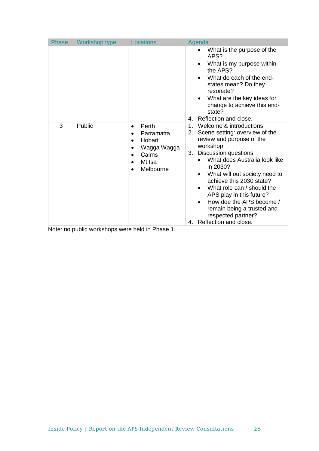| Phase | Workshop type                        | <b>Locations</b>                                                                                                                                                          | Agenda                                                                                                                                                                                                                                                                                                                                                                                                                                     |
|-------|--------------------------------------|---------------------------------------------------------------------------------------------------------------------------------------------------------------------------|--------------------------------------------------------------------------------------------------------------------------------------------------------------------------------------------------------------------------------------------------------------------------------------------------------------------------------------------------------------------------------------------------------------------------------------------|
|       |                                      |                                                                                                                                                                           | What is the purpose of the<br>APS?<br>What is my purpose within<br>the APS?<br>What do each of the end-<br>states mean? Do they<br>resonate?<br>What are the key ideas for<br>change to achieve this end-<br>state?<br>Reflection and close.<br>4.                                                                                                                                                                                         |
| 3     | Public<br>. I. III<br>بداريتها والمر | Perth<br>$\bullet$<br>Parramatta<br>$\bullet$<br>Hobart<br>Wagga Wagga<br>$\bullet$<br>Cairns<br>Mt Isa<br>$\bullet$<br>Melbourne<br>$\bullet$<br>the control that<br>DJ. | Welcome & introductions.<br>$\mathbf 1$ .<br>2. Scene setting: overview of the<br>review and purpose of the<br>workshop.<br>Discussion questions:<br>3.<br>What does Australia look like<br>in 2030?<br>What will out society need to<br>achieve this 2030 state?<br>What role can / should the<br>APS play in this future?<br>How doe the APS become /<br>remain being a trusted and<br>respected partner?<br>Reflection and close.<br>4. |

Note: no public workshops were held in Phase 1.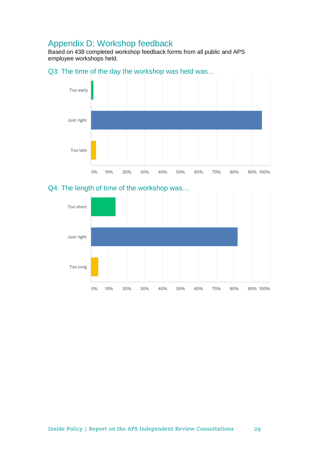## Appendix D: Workshop feedback

Based on 438 completed workshop feedback forms from all public and APS employee workshops held.

## Q3: The time of the day the workshop was held was…



## Q4: The length of time of the workshop was…

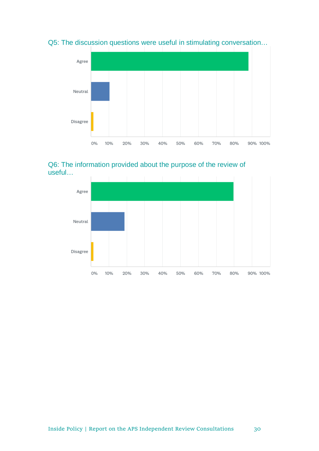Q5: The discussion questions were useful in stimulating conversation…



## Q6: The information provided about the purpose of the review of useful…

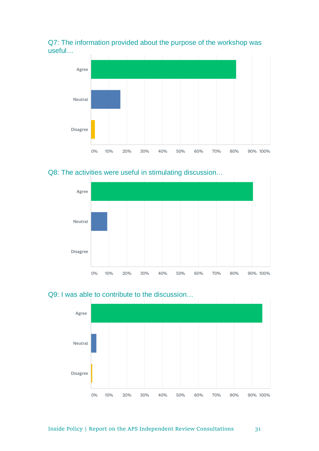Q7: The information provided about the purpose of the workshop was useful…



## Q8: The activities were useful in stimulating discussion...





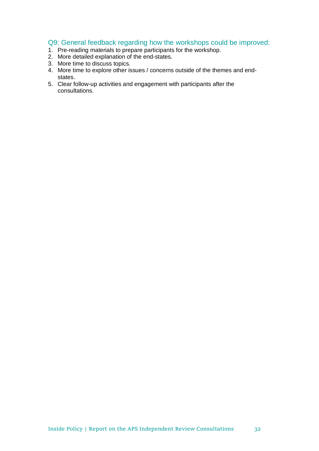## Q9: General feedback regarding how the workshops could be improved:

- 1. Pre-reading materials to prepare participants for the workshop.
- 2. More detailed explanation of the end-states.
- 3. More time to discuss topics.
- 4. More time to explore other issues / concerns outside of the themes and endstates.
- 5. Clear follow-up activities and engagement with participants after the consultations.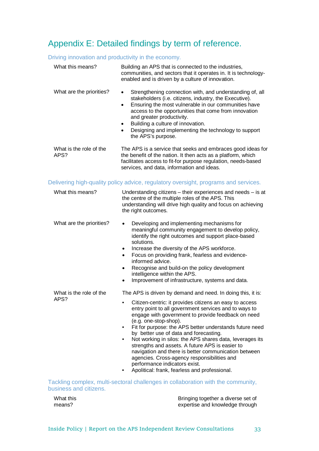## Appendix E: Detailed findings by term of reference.

## Driving innovation and productivity in the economy.

| What this means?                | Building an APS that is connected to the industries,<br>communities, and sectors that it operates in. It is technology-<br>enabled and is driven by a culture of innovation.                                                                                                                                                                                                                                                                                              |  |  |
|---------------------------------|---------------------------------------------------------------------------------------------------------------------------------------------------------------------------------------------------------------------------------------------------------------------------------------------------------------------------------------------------------------------------------------------------------------------------------------------------------------------------|--|--|
| What are the priorities?        | Strengthening connection with, and understanding of, all<br>$\bullet$<br>stakeholders (i.e. citizens, industry, the Executive).<br>Ensuring the most vulnerable in our communities have<br>$\bullet$<br>access to the opportunities that come from innovation<br>and greater productivity.<br>Building a culture of innovation.<br>$\bullet$<br>Designing and implementing the technology to support<br>$\bullet$<br>the APS's purpose.                                   |  |  |
| What is the role of the<br>APS? | The APS is a service that seeks and embraces good ideas for<br>the benefit of the nation. It then acts as a platform, which<br>facilitates access to fit-for purpose regulation, needs-based<br>services, and data, information and ideas.                                                                                                                                                                                                                                |  |  |
|                                 | Delivering high-quality policy advice, regulatory oversight, programs and services.                                                                                                                                                                                                                                                                                                                                                                                       |  |  |
| What this means?                | Understanding citizens - their experiences and needs - is at<br>the centre of the multiple roles of the APS. This<br>understanding will drive high quality and focus on achieving<br>the right outcomes.                                                                                                                                                                                                                                                                  |  |  |
| What are the priorities?        | Developing and implementing mechanisms for<br>meaningful community engagement to develop policy,<br>identify the right outcomes and support place-based<br>solutions.<br>Increase the diversity of the APS workforce.<br>$\bullet$<br>Focus on providing frank, fearless and evidence-<br>$\bullet$<br>informed advice.<br>Recognise and build-on the policy development<br>$\bullet$<br>intelligence within the APS.<br>Improvement of infrastructure, systems and data. |  |  |
| What is the role of the<br>APS? | The APS is driven by demand and need. In doing this, it is:<br>Citizen-centric: it provides citizens an easy to access                                                                                                                                                                                                                                                                                                                                                    |  |  |

- Citizen-centric: it provides citizens an easy to access entry point to all government services and to ways to engage with government to provide feedback on need (e.g. one-stop-shop).
- Fit for purpose: the APS better understands future need by better use of data and forecasting.
- Not working in silos: the APS shares data, leverages its strengths and assets. A future APS is easier to navigation and there is better communication between agencies. Cross-agency responsibilities and performance indicators exist.
- Apolitical: frank, fearless and professional.

Tackling complex, multi-sectoral challenges in collaboration with the community, business and citizens.

What this means?

Bringing together a diverse set of expertise and knowledge through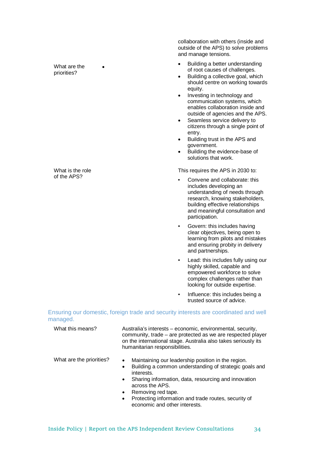What are the priorities?

What is the role of the APS?

collaboration with others (inside and outside of the APS) to solve problems and manage tensions.

- Building a better understanding of root causes of challenges.
	- Building a collective goal, which should centre on working towards equity.
	- Investing in technology and communication systems, which enables collaboration inside and outside of agencies and the APS.
	- Seamless service delivery to citizens through a single point of entry.
	- Building trust in the APS and government.
	- Building the evidence-base of solutions that work.

This requires the APS in 2030 to:

- Convene and collaborate: this includes developing an understanding of needs through research, knowing stakeholders, building effective relationships and meaningful consultation and participation.
- Govern: this includes having clear objectives, being open to learning from pilots and mistakes and ensuring probity in delivery and partnerships.
- Lead: this includes fully using our highly skilled, capable and empowered workforce to solve complex challenges rather than looking for outside expertise.
- Influence: this includes being a trusted source of advice.

Ensuring our domestic, foreign trade and security interests are coordinated and well managed.

| What this means?         | Australia's interests - economic, environmental, security,<br>community, trade – are protected as we are respected player<br>on the international stage. Australia also takes seriously its<br>humanitarian responsibilities. |
|--------------------------|-------------------------------------------------------------------------------------------------------------------------------------------------------------------------------------------------------------------------------|
| What are the priorities? | Maintaining our leadership position in the region.<br>$\bullet$<br>Building a common understanding of strategic goals and<br>$\bullet$<br>interests.                                                                          |
|                          | Sharing information, data, resourcing and innovation<br>$\bullet$<br>across the APS.                                                                                                                                          |
|                          | Removing red tape.<br>$\bullet$                                                                                                                                                                                               |
|                          | Protecting information and trade routes, security of<br>$\bullet$<br>economic and other interests.                                                                                                                            |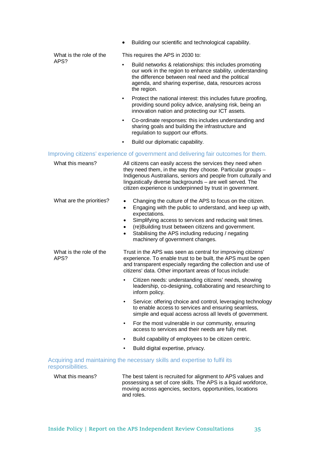|                                 | Building our scientific and technological capability.                                                                                                                                                                                                                                                                                                                                                              |
|---------------------------------|--------------------------------------------------------------------------------------------------------------------------------------------------------------------------------------------------------------------------------------------------------------------------------------------------------------------------------------------------------------------------------------------------------------------|
| What is the role of the<br>APS? | This requires the APS in 2030 to:                                                                                                                                                                                                                                                                                                                                                                                  |
|                                 | Build networks & relationships: this includes promoting<br>our work in the region to enhance stability, understanding<br>the difference between real need and the political<br>agenda, and sharing expertise, data, resources across<br>the region.                                                                                                                                                                |
|                                 | Protect the national interest: this includes future proofing,<br>$\bullet$<br>providing sound policy advice, analysing risk, being an<br>innovation nation and protecting our ICT assets.                                                                                                                                                                                                                          |
|                                 | Co-ordinate responses: this includes understanding and<br>٠<br>sharing goals and building the infrastructure and<br>regulation to support our efforts.                                                                                                                                                                                                                                                             |
|                                 | Build our diplomatic capability.                                                                                                                                                                                                                                                                                                                                                                                   |
|                                 | Improving citizens' experience of government and delivering fair outcomes for them.                                                                                                                                                                                                                                                                                                                                |
| What this means?                | All citizens can easily access the services they need when<br>they need them, in the way they choose. Particular groups -<br>Indigenous Australians, seniors and people from culturally and<br>linguistically diverse backgrounds - are well served. The<br>citizen experience is underpinned by trust in government.                                                                                              |
| What are the priorities?        | Changing the culture of the APS to focus on the citizen.<br>$\bullet$<br>Engaging with the public to understand, and keep up with,<br>$\bullet$<br>expectations.<br>Simplifying access to services and reducing wait times.<br>$\bullet$<br>(re)Building trust between citizens and government.<br>$\bullet$<br>Stabilising the APS including reducing / negating<br>$\bullet$<br>machinery of government changes. |
| What is the role of the<br>APS? | Trust in the APS was seen as central for improving citizens'<br>experience. To enable trust to be built, the APS must be open<br>and transparent especially regarding the collection and use of<br>citizens' data. Other important areas of focus include:                                                                                                                                                         |
|                                 | Citizen needs: understanding citizens' needs, showing<br>leadership, co-designing, collaborating and researching to<br>inform policy.                                                                                                                                                                                                                                                                              |
|                                 | Service: offering choice and control, leveraging technology<br>$\bullet$<br>to enable access to services and ensuring seamless,<br>simple and equal access across all levels of government.                                                                                                                                                                                                                        |
|                                 | For the most vulnerable in our community, ensuring<br>٠<br>access to services and their needs are fully met.                                                                                                                                                                                                                                                                                                       |
|                                 | Build capability of employees to be citizen centric.<br>٠                                                                                                                                                                                                                                                                                                                                                          |
|                                 | Build digital expertise, privacy.                                                                                                                                                                                                                                                                                                                                                                                  |
| responsibilities.               | Acquiring and maintaining the necessary skills and expertise to fulfil its                                                                                                                                                                                                                                                                                                                                         |
| What this means?                | The best talent is recruited for alignment to APS values and<br>possessing a set of core skills. The APS is a liquid workforce,<br>moving across agencies, sectors, opportunities, locations<br>and roles.                                                                                                                                                                                                         |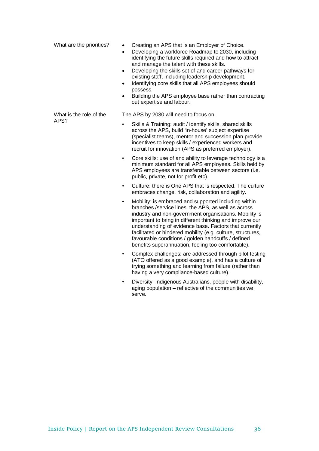| What are the priorities? | Creating an APS that is an Employer of Choice.<br>Developing a workforce Roadmap to 2030, including<br>identifying the future skills required and how to attract<br>and manage the talent with these skills.<br>Developing the skills set of and career pathways for<br>existing staff, including leadership development.<br>Identifying core skills that all APS employees should<br>possess.<br>Building the APS employee base rather than contracting<br>out expertise and labour. |
|--------------------------|---------------------------------------------------------------------------------------------------------------------------------------------------------------------------------------------------------------------------------------------------------------------------------------------------------------------------------------------------------------------------------------------------------------------------------------------------------------------------------------|
| What is the role of the  | The APS by 2030 will need to focus on:                                                                                                                                                                                                                                                                                                                                                                                                                                                |
| APS?                     | Skills & Training: audit / identify skills, shared skills<br>across the APS, build 'in-house' subject expertise<br>(specialist teams), mentor and succession plan provide<br>incentives to keep skills / experienced workers and<br>recruit for innovation (APS as preferred employer).                                                                                                                                                                                               |
|                          | Core skills: use of and ability to leverage technology is a<br>minimum standard for all APS employees. Skills held by<br>APS employees are transferable between sectors (i.e.<br>public, private, not for profit etc).                                                                                                                                                                                                                                                                |
|                          | Culture: there is One APS that is respected. The culture<br>embraces change, risk, collaboration and agility.                                                                                                                                                                                                                                                                                                                                                                         |
|                          | Mobility: is embraced and supported including within<br>branches /service lines, the APS, as well as across<br>industry and non-government organisations. Mobility is<br>important to bring in different thinking and improve our<br>understanding of evidence base. Factors that currently<br>facilitated or hindered mobility (e.g. culture, structures,<br>favourable conditions / golden handcuffs / defined<br>benefits superannuation, feeling too comfortable).                |
|                          | Complex challenges: are addressed through pilot testing<br>(ATO offered as a good example), and has a culture of<br>trying something and learning from failure (rather than<br>having a very compliance-based culture).                                                                                                                                                                                                                                                               |
|                          | Diversity: Indigenous Australians, people with disability,<br>aging population - reflective of the communities we<br>serve.                                                                                                                                                                                                                                                                                                                                                           |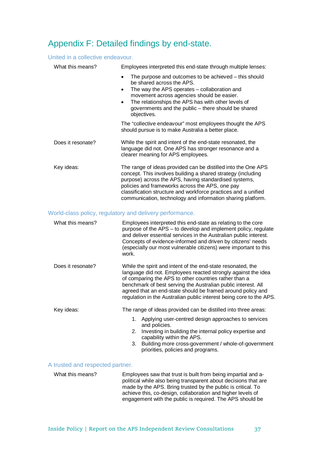## Appendix F: Detailed findings by end-state.

## United in a collective endeavour.

| What this means?  | Employees interpreted this end-state through multiple lenses:                                                                                                                                                                                                                                                                                                              |
|-------------------|----------------------------------------------------------------------------------------------------------------------------------------------------------------------------------------------------------------------------------------------------------------------------------------------------------------------------------------------------------------------------|
|                   | The purpose and outcomes to be achieved – this should<br>٠<br>be shared across the APS.<br>The way the APS operates – collaboration and<br>٠<br>movement across agencies should be easier.<br>The relationships the APS has with other levels of<br>$\bullet$<br>governments and the public – there should be shared<br>objectives.                                        |
|                   | The "collective endeavour" most employees thought the APS<br>should pursue is to make Australia a better place.                                                                                                                                                                                                                                                            |
| Does it resonate? | While the spirit and intent of the end-state resonated, the<br>language did not. One APS has stronger resonance and a<br>clearer meaning for APS employees.                                                                                                                                                                                                                |
| Key ideas:        | The range of ideas provided can be distilled into the One APS<br>concept. This involves building a shared strategy (including<br>purpose) across the APS, having standardised systems,<br>policies and frameworks across the APS, one pay<br>classification structure and workforce practices and a unified<br>communication, technology and information sharing platform. |

## World-class policy, regulatory and delivery performance.

| What this means?  | Employees interpreted this end-state as relating to the core<br>purpose of the APS – to develop and implement policy, regulate<br>and deliver essential services in the Australian public interest.<br>Concepts of evidence-informed and driven by citizens' needs<br>(especially our most vulnerable citizens) were important to this<br>work.                                              |
|-------------------|----------------------------------------------------------------------------------------------------------------------------------------------------------------------------------------------------------------------------------------------------------------------------------------------------------------------------------------------------------------------------------------------|
| Does it resonate? | While the spirit and intent of the end-state resonated, the<br>language did not. Employees reacted strongly against the idea<br>of comparing the APS to other countries rather than a<br>benchmark of best serving the Australian public interest. All<br>agreed that an end-state should be framed around policy and<br>regulation in the Australian public interest being core to the APS. |
| Key ideas:        | The range of ideas provided can be distilled into three areas:                                                                                                                                                                                                                                                                                                                               |
|                   | 1. Applying user-centred design approaches to services<br>and policies.                                                                                                                                                                                                                                                                                                                      |
|                   | Investing in building the internal policy expertise and<br>2.<br>capability within the APS.                                                                                                                                                                                                                                                                                                  |
|                   | Building more cross-government / whole-of-government<br>3.<br>priorities, policies and programs.                                                                                                                                                                                                                                                                                             |

### A trusted and respected partner.

What this means? Employees saw that trust is built from being impartial and apolitical while also being transparent about decisions that are made by the APS. Bring trusted by the public is critical. To achieve this, co-design, collaboration and higher levels of engagement with the public is required. The APS should be